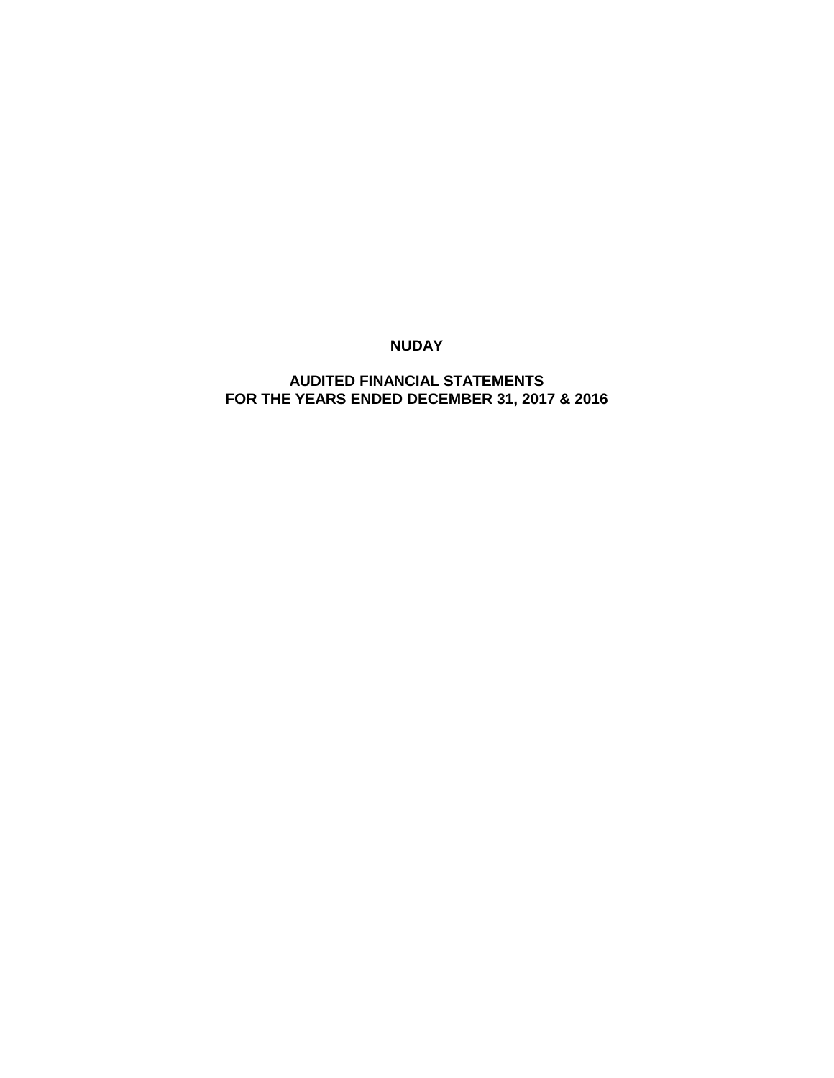# **NUDAY**

## **AUDITED FINANCIAL STATEMENTS FOR THE YEARS ENDED DECEMBER 31, 2017 & 2016**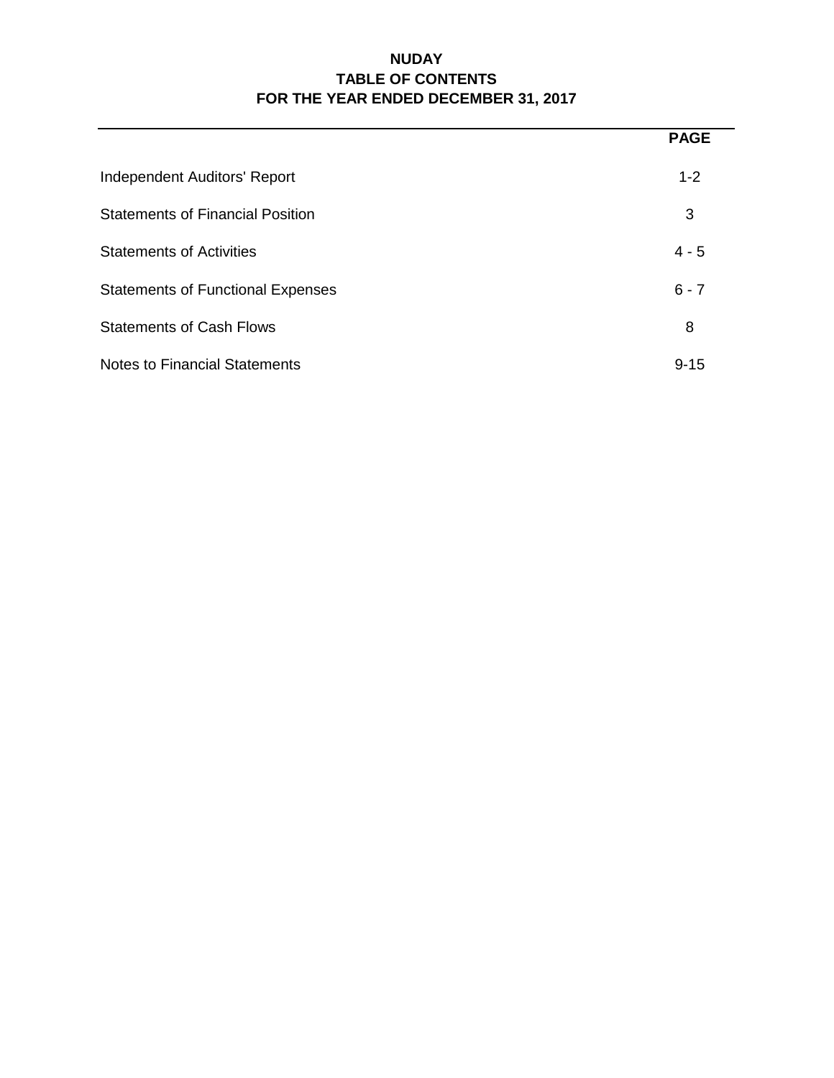# **NUDAY TABLE OF CONTENTS FOR THE YEAR ENDED DECEMBER 31, 2017**

|                                          | <b>PAGE</b> |
|------------------------------------------|-------------|
| Independent Auditors' Report             | $1 - 2$     |
| <b>Statements of Financial Position</b>  | 3           |
| <b>Statements of Activities</b>          | $4 - 5$     |
| <b>Statements of Functional Expenses</b> | $6 - 7$     |
| <b>Statements of Cash Flows</b>          | 8           |
| <b>Notes to Financial Statements</b>     | $9 - 15$    |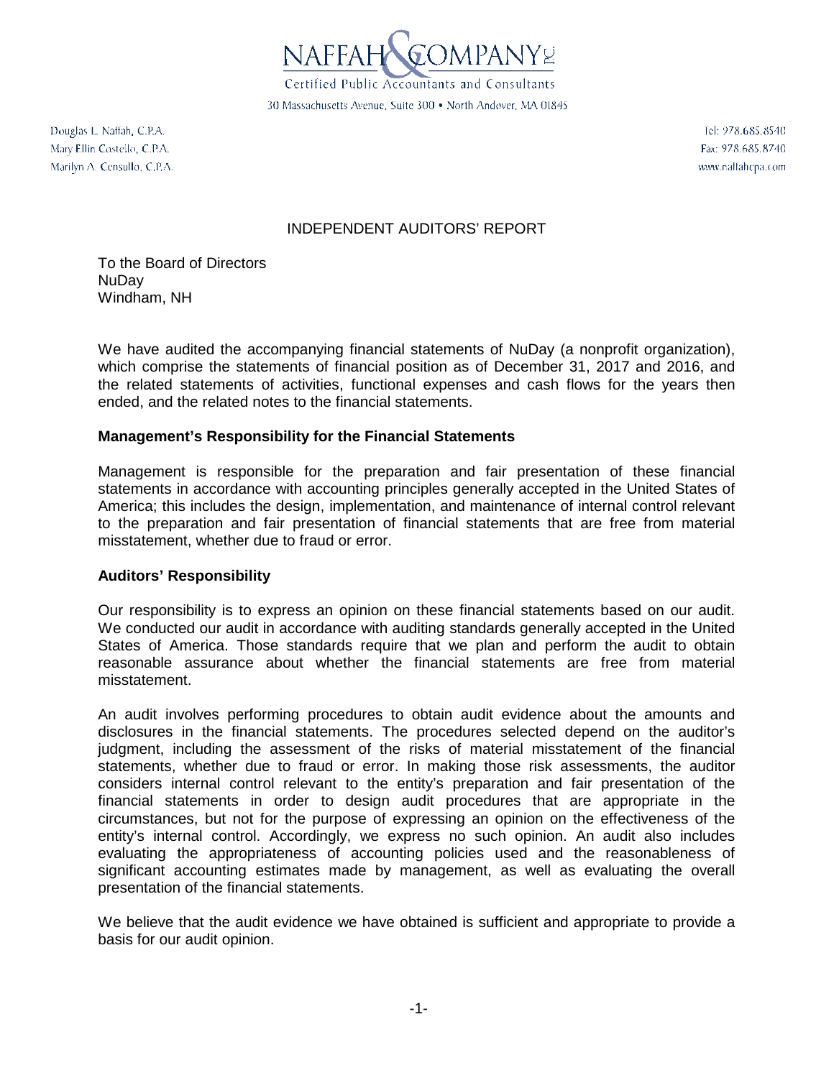

Douglas L. Naffah, C.P.A. Mary Ellin Costello, C.P.A. Marilyn A. Censullo, C.P.A.

Tel: 978.685.8540 Fax: 978.685.8740 www.naffahcpa.com

# INDEPENDENT AUDITORS' REPORT

To the Board of Directors NuDay Windham, NH

We have audited the accompanying financial statements of NuDay (a nonprofit organization), which comprise the statements of financial position as of December 31, 2017 and 2016, and the related statements of activities, functional expenses and cash flows for the years then ended, and the related notes to the financial statements.

# **Management's Responsibility for the Financial Statements**

Management is responsible for the preparation and fair presentation of these financial statements in accordance with accounting principles generally accepted in the United States of America; this includes the design, implementation, and maintenance of internal control relevant to the preparation and fair presentation of financial statements that are free from material misstatement, whether due to fraud or error.

#### **Auditors' Responsibility**

Our responsibility is to express an opinion on these financial statements based on our audit. We conducted our audit in accordance with auditing standards generally accepted in the United States of America. Those standards require that we plan and perform the audit to obtain reasonable assurance about whether the financial statements are free from material misstatement.

An audit involves performing procedures to obtain audit evidence about the amounts and disclosures in the financial statements. The procedures selected depend on the auditor's judgment, including the assessment of the risks of material misstatement of the financial statements, whether due to fraud or error. In making those risk assessments, the auditor considers internal control relevant to the entity's preparation and fair presentation of the financial statements in order to design audit procedures that are appropriate in the circumstances, but not for the purpose of expressing an opinion on the effectiveness of the entity's internal control. Accordingly, we express no such opinion. An audit also includes evaluating the appropriateness of accounting policies used and the reasonableness of significant accounting estimates made by management, as well as evaluating the overall presentation of the financial statements.

We believe that the audit evidence we have obtained is sufficient and appropriate to provide a basis for our audit opinion.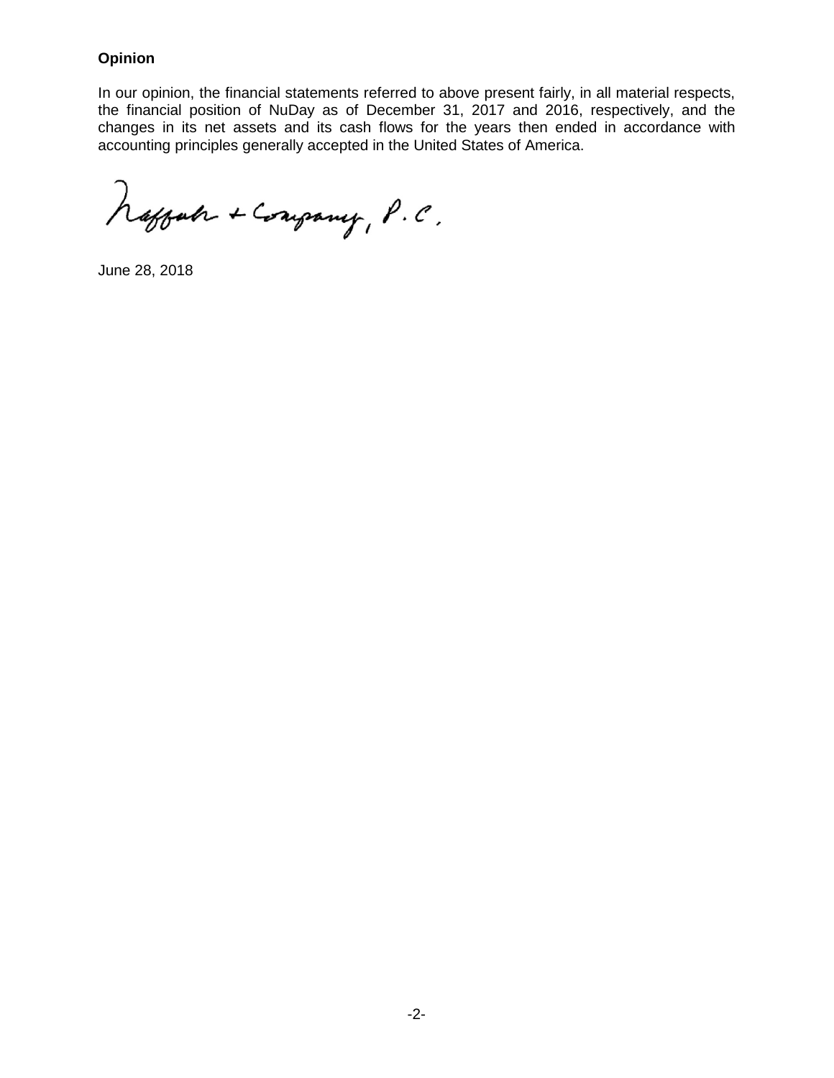# **Opinion**

In our opinion, the financial statements referred to above present fairly, in all material respects, the financial position of NuDay as of December 31, 2017 and 2016, respectively, and the changes in its net assets and its cash flows for the years then ended in accordance with accounting principles generally accepted in the United States of America.

Raffach + Congany, P.C.

June 28, 2018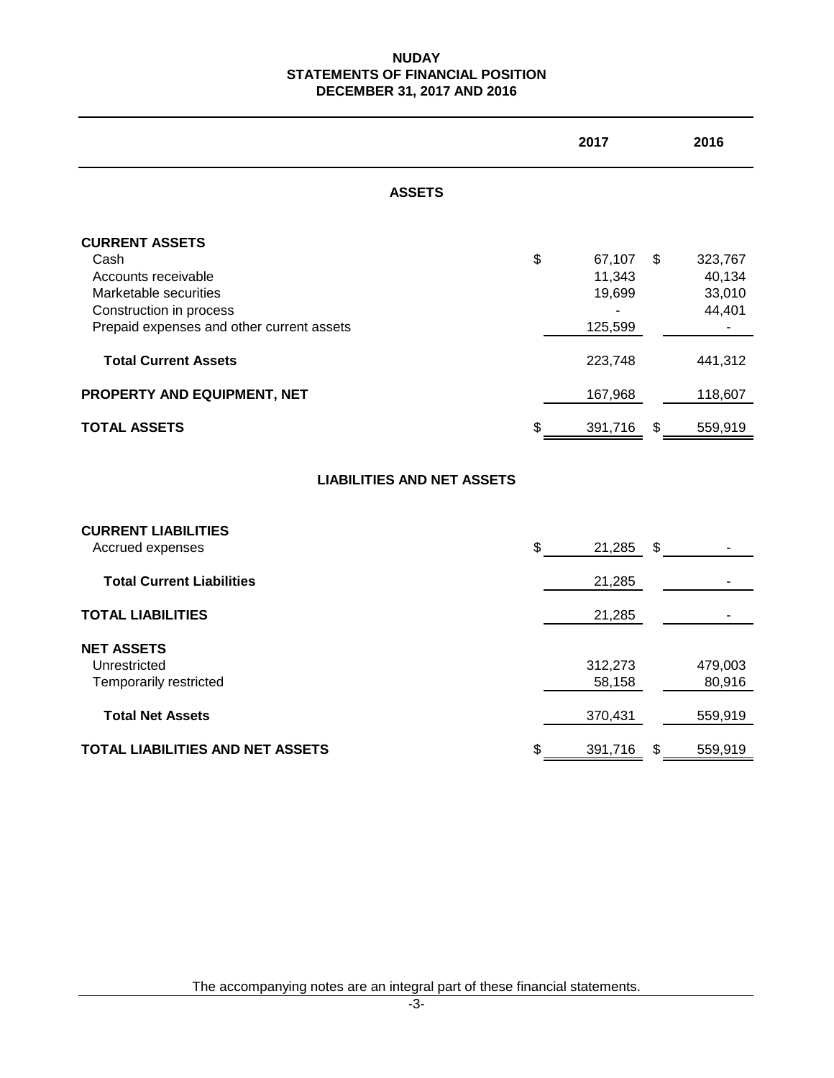## **NUDAY STATEMENTS OF FINANCIAL POSITION DECEMBER 31, 2017 AND 2016**

|                                                                                                                                                       | 2017                                        | 2016                                              |
|-------------------------------------------------------------------------------------------------------------------------------------------------------|---------------------------------------------|---------------------------------------------------|
| <b>ASSETS</b>                                                                                                                                         |                                             |                                                   |
| <b>CURRENT ASSETS</b><br>Cash<br>Accounts receivable<br>Marketable securities<br>Construction in process<br>Prepaid expenses and other current assets | \$<br>67,107<br>11,343<br>19,699<br>125,599 | \$<br>323,767<br>40,134<br>33,010<br>44,401<br>L, |
| <b>Total Current Assets</b>                                                                                                                           | 223,748                                     | 441,312                                           |
| PROPERTY AND EQUIPMENT, NET                                                                                                                           | 167,968                                     | 118,607                                           |
| <b>TOTAL ASSETS</b>                                                                                                                                   | \$<br>391,716                               | \$<br>559,919                                     |
| <b>LIABILITIES AND NET ASSETS</b>                                                                                                                     |                                             |                                                   |
| <b>CURRENT LIABILITIES</b><br>Accrued expenses                                                                                                        | \$<br>21,285                                | \$                                                |
| <b>Total Current Liabilities</b>                                                                                                                      | 21,285                                      |                                                   |
| <b>TOTAL LIABILITIES</b>                                                                                                                              | 21,285                                      |                                                   |
| <b>NET ASSETS</b><br>Unrestricted<br>Temporarily restricted                                                                                           | 312,273<br>58,158                           | 479,003<br>80,916                                 |
| <b>Total Net Assets</b>                                                                                                                               | 370,431                                     | 559,919                                           |
| <b>TOTAL LIABILITIES AND NET ASSETS</b>                                                                                                               | 391,716                                     | \$<br>559,919                                     |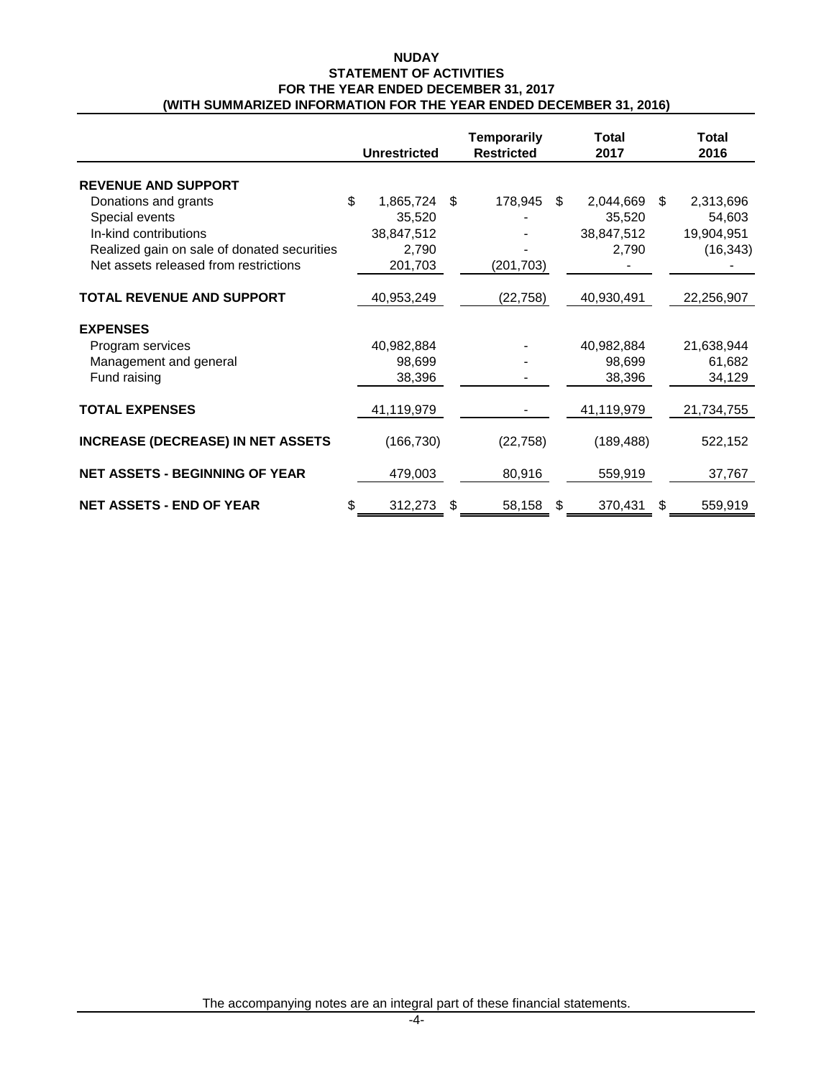#### **NUDAY STATEMENT OF ACTIVITIES FOR THE YEAR ENDED DECEMBER 31, 2017 (WITH SUMMARIZED INFORMATION FOR THE YEAR ENDED DECEMBER 31, 2016)**

|                                             | <b>Unrestricted</b> |    | <b>Temporarily</b><br><b>Restricted</b> |     | Total<br>2017 |     | Total<br>2016 |
|---------------------------------------------|---------------------|----|-----------------------------------------|-----|---------------|-----|---------------|
| <b>REVENUE AND SUPPORT</b>                  |                     |    |                                         |     |               |     |               |
| Donations and grants                        | \$<br>1,865,724     | \$ | 178,945                                 | \$. | 2,044,669     | S.  | 2,313,696     |
| Special events                              | 35,520              |    |                                         |     | 35,520        |     | 54,603        |
| In-kind contributions                       | 38,847,512          |    |                                         |     | 38,847,512    |     | 19,904,951    |
| Realized gain on sale of donated securities | 2,790               |    |                                         |     | 2,790         |     | (16, 343)     |
| Net assets released from restrictions       | 201,703             |    | (201,703)                               |     |               |     |               |
| TOTAL REVENUE AND SUPPORT                   | 40,953,249          |    | (22, 758)                               |     | 40,930,491    |     | 22,256,907    |
| <b>EXPENSES</b>                             |                     |    |                                         |     |               |     |               |
| Program services                            | 40,982,884          |    |                                         |     | 40,982,884    |     | 21,638,944    |
| Management and general                      | 98,699              |    |                                         |     | 98,699        |     | 61,682        |
| Fund raising                                | 38,396              |    |                                         |     | 38,396        |     | 34,129        |
| <b>TOTAL EXPENSES</b>                       | 41,119,979          |    |                                         |     | 41,119,979    |     | 21,734,755    |
| <b>INCREASE (DECREASE) IN NET ASSETS</b>    | (166, 730)          |    | (22, 758)                               |     | (189, 488)    |     | 522,152       |
| <b>NET ASSETS - BEGINNING OF YEAR</b>       | 479,003             |    | 80,916                                  |     | 559,919       |     | 37,767        |
| <b>NET ASSETS - END OF YEAR</b>             | \$<br>312,273       | S  | 58,158                                  | \$  | 370,431       | \$. | 559,919       |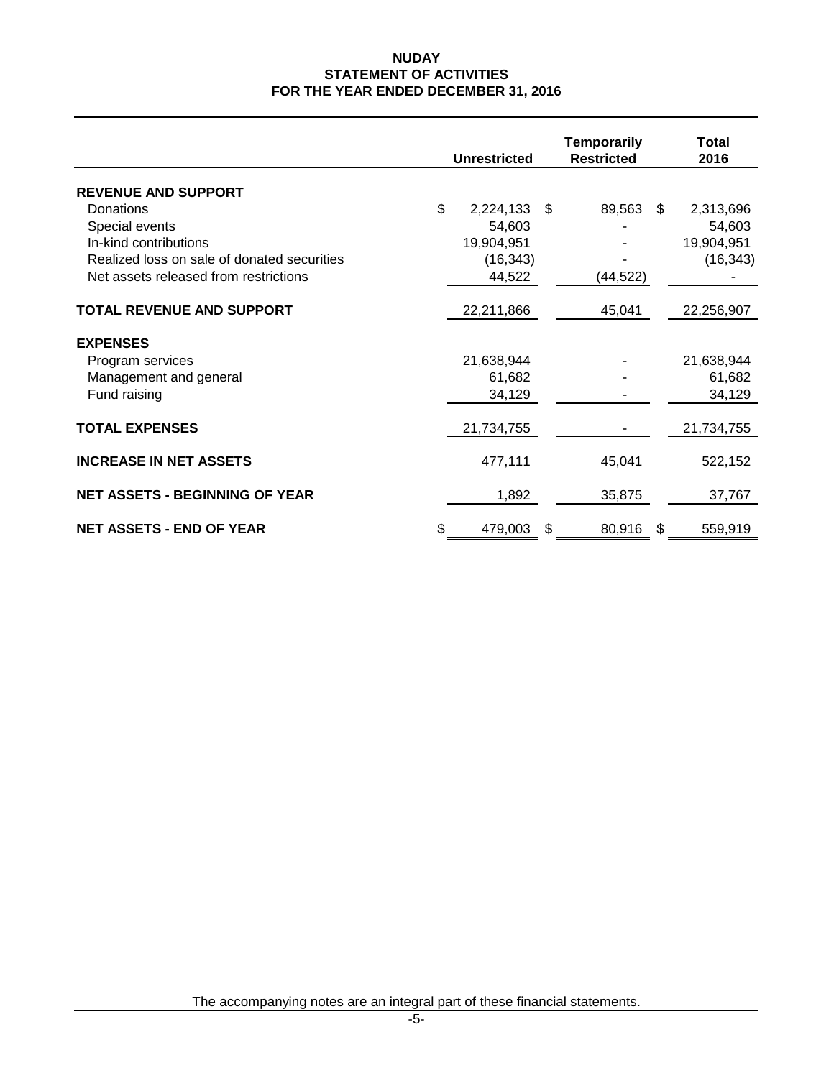### **NUDAY STATEMENT OF ACTIVITIES FOR THE YEAR ENDED DECEMBER 31, 2016**

|                                             | <b>Unrestricted</b> |     | <b>Temporarily</b><br><b>Restricted</b> | Total<br>2016   |
|---------------------------------------------|---------------------|-----|-----------------------------------------|-----------------|
| <b>REVENUE AND SUPPORT</b>                  |                     |     |                                         |                 |
| Donations                                   | \$<br>2,224,133     | -\$ | 89,563                                  | \$<br>2,313,696 |
| Special events                              | 54,603              |     |                                         | 54,603          |
| In-kind contributions                       | 19,904,951          |     |                                         | 19,904,951      |
| Realized loss on sale of donated securities | (16, 343)           |     |                                         | (16, 343)       |
| Net assets released from restrictions       | 44,522              |     | (44, 522)                               |                 |
| <b>TOTAL REVENUE AND SUPPORT</b>            | 22,211,866          |     | 45,041                                  | 22,256,907      |
| <b>EXPENSES</b>                             |                     |     |                                         |                 |
| Program services                            | 21,638,944          |     |                                         | 21,638,944      |
| Management and general                      | 61,682              |     |                                         | 61,682          |
| Fund raising                                | 34,129              |     |                                         | 34,129          |
| <b>TOTAL EXPENSES</b>                       | 21,734,755          |     |                                         | 21,734,755      |
| <b>INCREASE IN NET ASSETS</b>               | 477,111             |     | 45,041                                  | 522,152         |
| <b>NET ASSETS - BEGINNING OF YEAR</b>       | 1,892               |     | 35,875                                  | 37,767          |
| <b>NET ASSETS - END OF YEAR</b>             | \$<br>479,003       | \$  | 80,916                                  | \$<br>559,919   |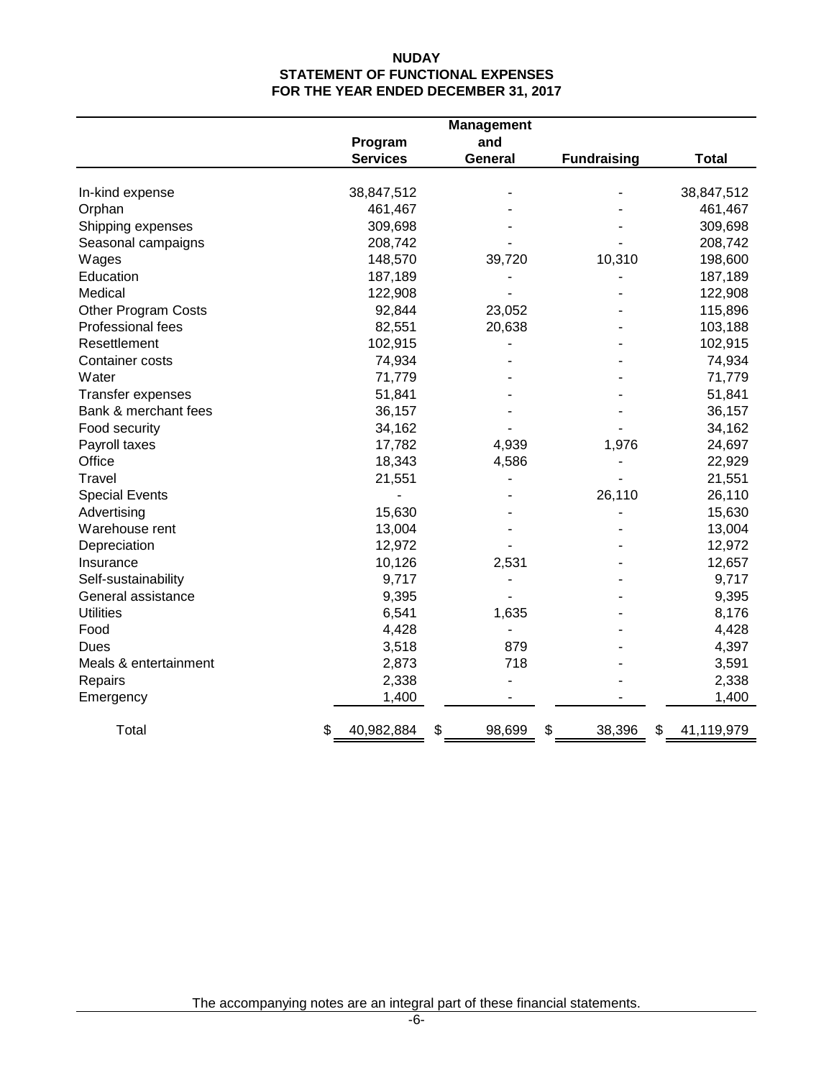# **NUDAY STATEMENT OF FUNCTIONAL EXPENSES FOR THE YEAR ENDED DECEMBER 31, 2017**

|                            |                  | <b>Management</b> |                    |                  |
|----------------------------|------------------|-------------------|--------------------|------------------|
|                            | Program          | and               |                    |                  |
|                            | <b>Services</b>  | General           | <b>Fundraising</b> | <b>Total</b>     |
|                            | 38,847,512       |                   |                    | 38,847,512       |
| In-kind expense<br>Orphan  | 461,467          |                   |                    | 461,467          |
|                            | 309,698          |                   |                    | 309,698          |
| Shipping expenses          | 208,742          |                   |                    | 208,742          |
| Seasonal campaigns         |                  |                   |                    |                  |
| Wages                      | 148,570          | 39,720            | 10,310             | 198,600          |
| Education                  | 187,189          |                   |                    | 187,189          |
| Medical                    | 122,908          |                   |                    | 122,908          |
| <b>Other Program Costs</b> | 92,844           | 23,052            |                    | 115,896          |
| Professional fees          | 82,551           | 20,638            |                    | 103,188          |
| Resettlement               | 102,915          |                   |                    | 102,915          |
| <b>Container costs</b>     | 74,934           |                   |                    | 74,934           |
| Water                      | 71,779           |                   |                    | 71,779           |
| Transfer expenses          | 51,841           |                   |                    | 51,841           |
| Bank & merchant fees       | 36,157           |                   |                    | 36,157           |
| Food security              | 34,162           |                   |                    | 34,162           |
| Payroll taxes              | 17,782           | 4,939             | 1,976              | 24,697           |
| Office                     | 18,343           | 4,586             |                    | 22,929           |
| Travel                     | 21,551           |                   |                    | 21,551           |
| <b>Special Events</b>      |                  |                   | 26,110             | 26,110           |
| Advertising                | 15,630           |                   |                    | 15,630           |
| Warehouse rent             | 13,004           |                   |                    | 13,004           |
| Depreciation               | 12,972           |                   |                    | 12,972           |
| Insurance                  | 10,126           | 2,531             |                    | 12,657           |
| Self-sustainability        | 9,717            |                   |                    | 9,717            |
| General assistance         | 9,395            |                   |                    | 9,395            |
| <b>Utilities</b>           | 6,541            | 1,635             |                    | 8,176            |
| Food                       | 4,428            |                   |                    | 4,428            |
| Dues                       | 3,518            | 879               |                    | 4,397            |
| Meals & entertainment      | 2,873            | 718               |                    | 3,591            |
| Repairs                    | 2,338            |                   |                    | 2,338            |
| Emergency                  | 1,400            |                   |                    | 1,400            |
| Total                      | \$<br>40,982,884 | \$<br>98,699      | \$<br>38,396       | \$<br>41,119,979 |

The accompanying notes are an integral part of these financial statements.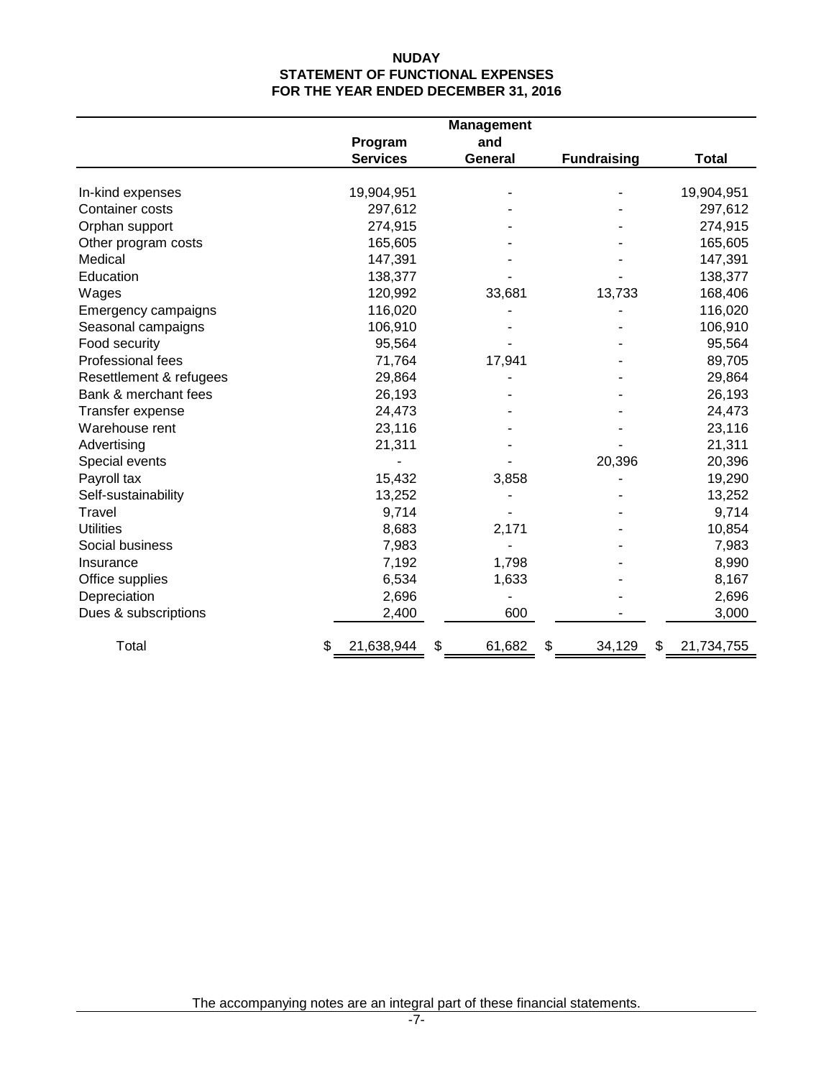# **NUDAY STATEMENT OF FUNCTIONAL EXPENSES FOR THE YEAR ENDED DECEMBER 31, 2016**

|                            |                 | <b>Management</b> |                    |                  |
|----------------------------|-----------------|-------------------|--------------------|------------------|
|                            | Program         | and               |                    |                  |
|                            | <b>Services</b> | General           | <b>Fundraising</b> | <b>Total</b>     |
|                            |                 |                   |                    |                  |
| In-kind expenses           | 19,904,951      |                   |                    | 19,904,951       |
| Container costs            | 297,612         |                   |                    | 297,612          |
| Orphan support             | 274,915         |                   |                    | 274,915          |
| Other program costs        | 165,605         |                   |                    | 165,605          |
| Medical                    | 147,391         |                   |                    | 147,391          |
| Education                  | 138,377         |                   |                    | 138,377          |
| Wages                      | 120,992         | 33,681            | 13,733             | 168,406          |
| <b>Emergency campaigns</b> | 116,020         |                   |                    | 116,020          |
| Seasonal campaigns         | 106,910         |                   |                    | 106,910          |
| Food security              | 95,564          |                   |                    | 95,564           |
| Professional fees          | 71,764          | 17,941            |                    | 89,705           |
| Resettlement & refugees    | 29,864          |                   |                    | 29,864           |
| Bank & merchant fees       | 26,193          |                   |                    | 26,193           |
| Transfer expense           | 24,473          |                   |                    | 24,473           |
| Warehouse rent             | 23,116          |                   |                    | 23,116           |
| Advertising                | 21,311          |                   |                    | 21,311           |
| Special events             |                 |                   | 20,396             | 20,396           |
| Payroll tax                | 15,432          | 3,858             |                    | 19,290           |
| Self-sustainability        | 13,252          |                   |                    | 13,252           |
| Travel                     | 9,714           |                   |                    | 9,714            |
| <b>Utilities</b>           | 8,683           | 2,171             |                    | 10,854           |
| Social business            | 7,983           |                   |                    | 7,983            |
| Insurance                  | 7,192           | 1,798             |                    | 8,990            |
| Office supplies            | 6,534           | 1,633             |                    | 8,167            |
| Depreciation               | 2,696           |                   |                    | 2,696            |
| Dues & subscriptions       | 2,400           | 600               |                    | 3,000            |
| Total                      | 21,638,944      | \$<br>61,682      | \$<br>34,129       | \$<br>21,734,755 |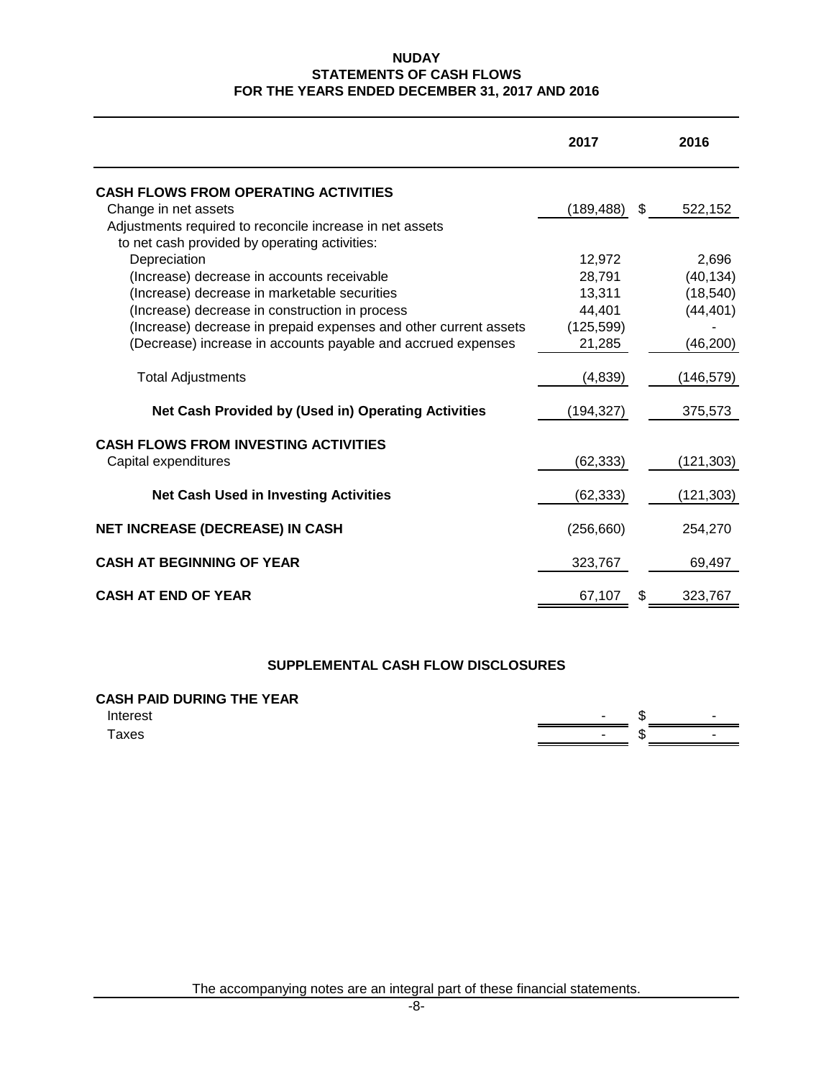#### **NUDAY STATEMENTS OF CASH FLOWS FOR THE YEARS ENDED DECEMBER 31, 2017 AND 2016**

|                                                                                                           | 2017            | 2016       |
|-----------------------------------------------------------------------------------------------------------|-----------------|------------|
| <b>CASH FLOWS FROM OPERATING ACTIVITIES</b>                                                               |                 |            |
| Change in net assets                                                                                      | \$<br>(189,488) | 522,152    |
| Adjustments required to reconcile increase in net assets<br>to net cash provided by operating activities: |                 |            |
| Depreciation                                                                                              | 12,972          | 2,696      |
| (Increase) decrease in accounts receivable                                                                | 28,791          | (40, 134)  |
| (Increase) decrease in marketable securities                                                              | 13,311          | (18, 540)  |
| (Increase) decrease in construction in process                                                            | 44,401          | (44, 401)  |
| (Increase) decrease in prepaid expenses and other current assets                                          | (125, 599)      |            |
| (Decrease) increase in accounts payable and accrued expenses                                              | 21,285          | (46, 200)  |
| <b>Total Adjustments</b>                                                                                  | (4,839)         | (146, 579) |
| Net Cash Provided by (Used in) Operating Activities                                                       | (194,327)       | 375,573    |
| <b>CASH FLOWS FROM INVESTING ACTIVITIES</b>                                                               |                 |            |
| Capital expenditures                                                                                      | (62, 333)       | (121, 303) |
| <b>Net Cash Used in Investing Activities</b>                                                              | (62, 333)       | (121, 303) |
| <b>NET INCREASE (DECREASE) IN CASH</b>                                                                    | (256, 660)      | 254,270    |
| <b>CASH AT BEGINNING OF YEAR</b>                                                                          | 323,767         | 69,497     |
| <b>CASH AT END OF YEAR</b>                                                                                | 67,107<br>\$    | 323,767    |

## **SUPPLEMENTAL CASH FLOW DISCLOSURES**

#### **CASH PAID DURING THE YEAR**

| $1 - 1 - 1 - 1$<br>___ | - |  |
|------------------------|---|--|
| axes                   |   |  |
|                        |   |  |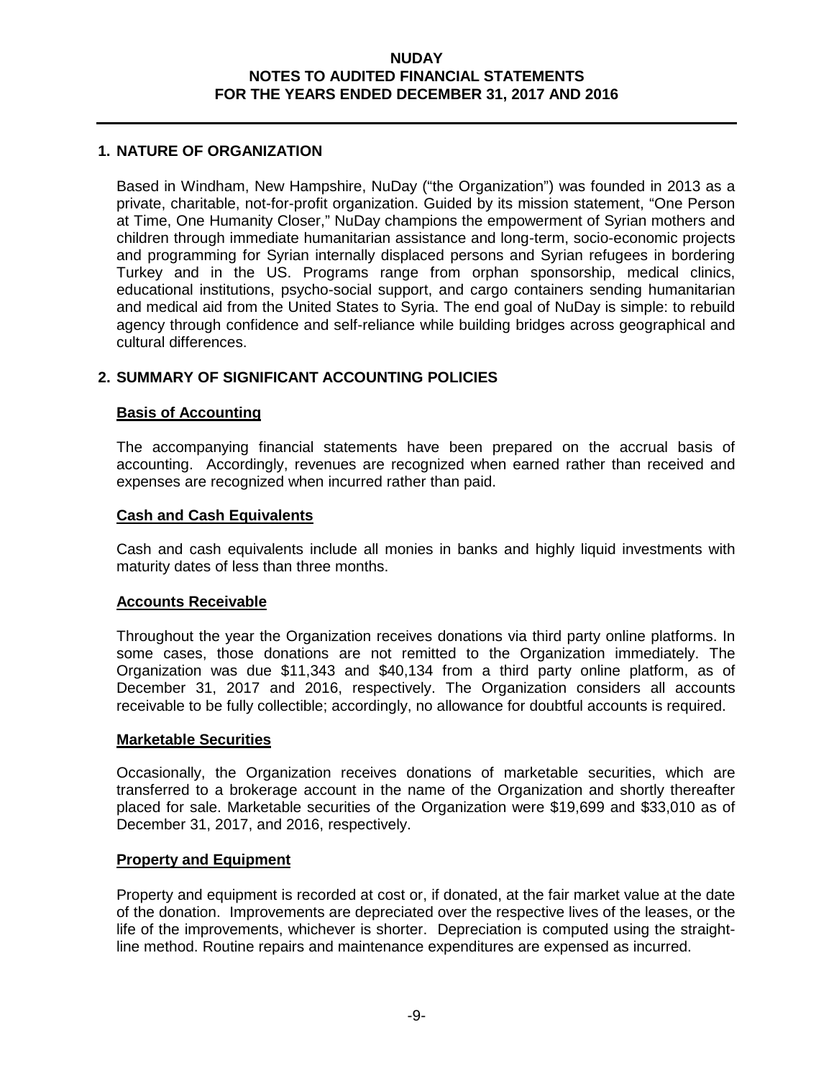# **1. NATURE OF ORGANIZATION**

Based in Windham, New Hampshire, NuDay ("the Organization") was founded in 2013 as a private, charitable, not-for-profit organization. Guided by its mission statement, "One Person at Time, One Humanity Closer," NuDay champions the empowerment of Syrian mothers and children through immediate humanitarian assistance and long-term, socio-economic projects and programming for Syrian internally displaced persons and Syrian refugees in bordering Turkey and in the US. Programs range from orphan sponsorship, medical clinics, educational institutions, psycho-social support, and cargo containers sending humanitarian and medical aid from the United States to Syria. The end goal of NuDay is simple: to rebuild agency through confidence and self-reliance while building bridges across geographical and cultural differences.

# **2. SUMMARY OF SIGNIFICANT ACCOUNTING POLICIES**

#### **Basis of Accounting**

The accompanying financial statements have been prepared on the accrual basis of accounting. Accordingly, revenues are recognized when earned rather than received and expenses are recognized when incurred rather than paid.

#### **Cash and Cash Equivalents**

Cash and cash equivalents include all monies in banks and highly liquid investments with maturity dates of less than three months.

#### **Accounts Receivable**

Throughout the year the Organization receives donations via third party online platforms. In some cases, those donations are not remitted to the Organization immediately. The Organization was due \$11,343 and \$40,134 from a third party online platform, as of December 31, 2017 and 2016, respectively. The Organization considers all accounts receivable to be fully collectible; accordingly, no allowance for doubtful accounts is required.

#### **Marketable Securities**

Occasionally, the Organization receives donations of marketable securities, which are transferred to a brokerage account in the name of the Organization and shortly thereafter placed for sale. Marketable securities of the Organization were \$19,699 and \$33,010 as of December 31, 2017, and 2016, respectively.

#### **Property and Equipment**

Property and equipment is recorded at cost or, if donated, at the fair market value at the date of the donation. Improvements are depreciated over the respective lives of the leases, or the life of the improvements, whichever is shorter. Depreciation is computed using the straightline method. Routine repairs and maintenance expenditures are expensed as incurred.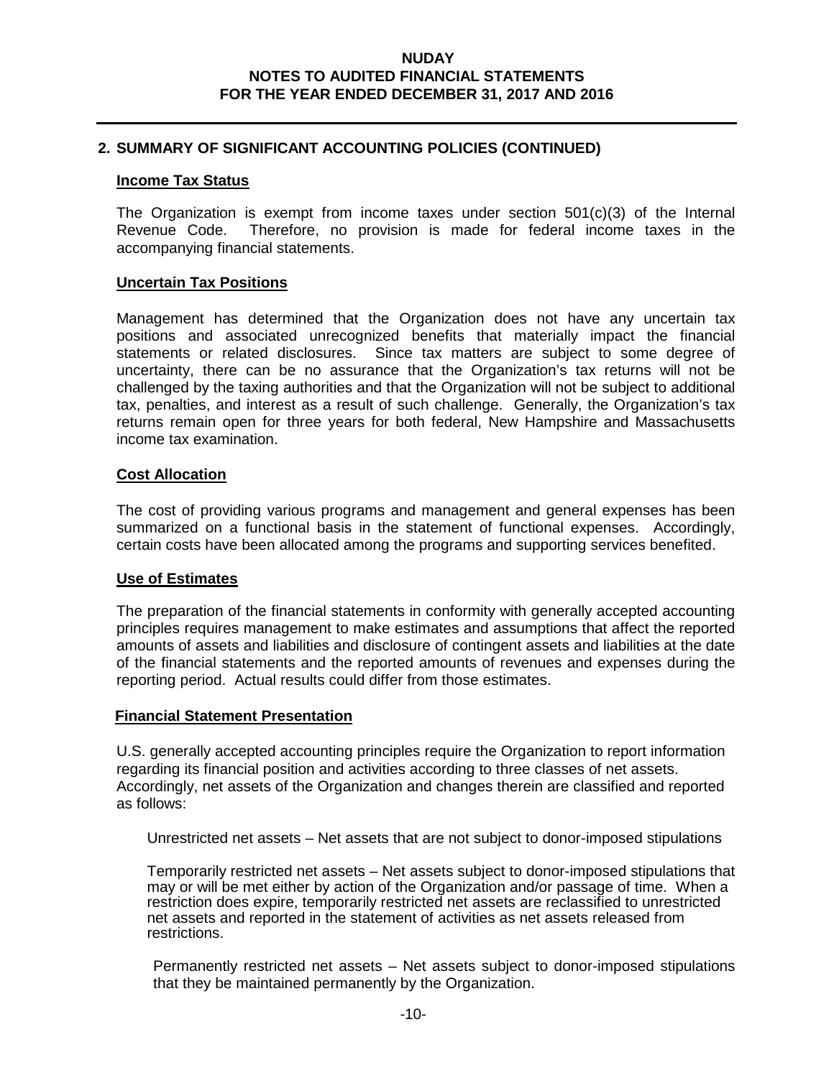## **2. SUMMARY OF SIGNIFICANT ACCOUNTING POLICIES (CONTINUED)**

#### **Income Tax Status**

The Organization is exempt from income taxes under section  $501(c)(3)$  of the Internal Revenue Code. Therefore, no provision is made for federal income taxes in the accompanying financial statements.

#### **Uncertain Tax Positions**

Management has determined that the Organization does not have any uncertain tax positions and associated unrecognized benefits that materially impact the financial statements or related disclosures. Since tax matters are subject to some degree of uncertainty, there can be no assurance that the Organization's tax returns will not be challenged by the taxing authorities and that the Organization will not be subject to additional tax, penalties, and interest as a result of such challenge. Generally, the Organization's tax returns remain open for three years for both federal, New Hampshire and Massachusetts income tax examination.

#### **Cost Allocation**

The cost of providing various programs and management and general expenses has been summarized on a functional basis in the statement of functional expenses. Accordingly, certain costs have been allocated among the programs and supporting services benefited.

#### **Use of Estimates**

The preparation of the financial statements in conformity with generally accepted accounting principles requires management to make estimates and assumptions that affect the reported amounts of assets and liabilities and disclosure of contingent assets and liabilities at the date of the financial statements and the reported amounts of revenues and expenses during the reporting period. Actual results could differ from those estimates.

#### **Financial Statement Presentation**

U.S. generally accepted accounting principles require the Organization to report information regarding its financial position and activities according to three classes of net assets. Accordingly, net assets of the Organization and changes therein are classified and reported as follows:

Unrestricted net assets – Net assets that are not subject to donor-imposed stipulations

Temporarily restricted net assets – Net assets subject to donor-imposed stipulations that may or will be met either by action of the Organization and/or passage of time. When a restriction does expire, temporarily restricted net assets are reclassified to unrestricted net assets and reported in the statement of activities as net assets released from restrictions.

Permanently restricted net assets – Net assets subject to donor-imposed stipulations that they be maintained permanently by the Organization.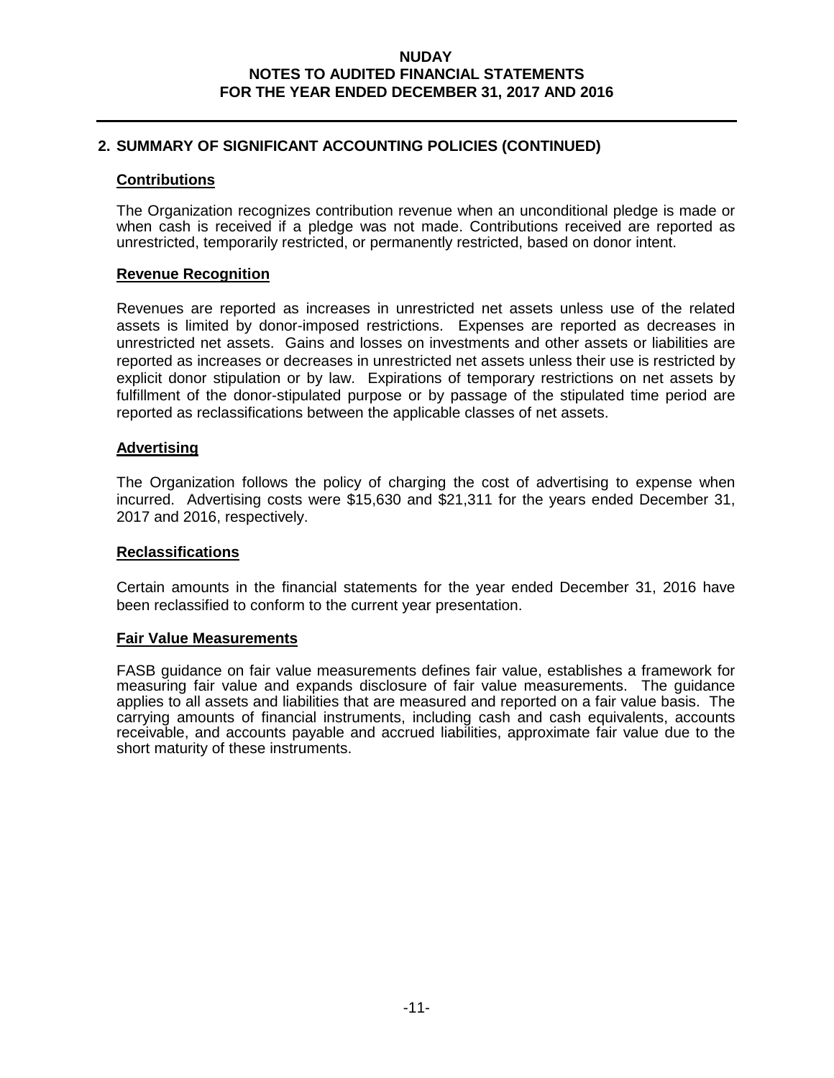# **2. SUMMARY OF SIGNIFICANT ACCOUNTING POLICIES (CONTINUED)**

#### **Contributions**

The Organization recognizes contribution revenue when an unconditional pledge is made or when cash is received if a pledge was not made. Contributions received are reported as unrestricted, temporarily restricted, or permanently restricted, based on donor intent.

#### **Revenue Recognition**

Revenues are reported as increases in unrestricted net assets unless use of the related assets is limited by donor-imposed restrictions. Expenses are reported as decreases in unrestricted net assets. Gains and losses on investments and other assets or liabilities are reported as increases or decreases in unrestricted net assets unless their use is restricted by explicit donor stipulation or by law. Expirations of temporary restrictions on net assets by fulfillment of the donor-stipulated purpose or by passage of the stipulated time period are reported as reclassifications between the applicable classes of net assets.

### **Advertising**

The Organization follows the policy of charging the cost of advertising to expense when incurred. Advertising costs were \$15,630 and \$21,311 for the years ended December 31, 2017 and 2016, respectively.

#### **Reclassifications**

Certain amounts in the financial statements for the year ended December 31, 2016 have been reclassified to conform to the current year presentation.

#### **Fair Value Measurements**

FASB guidance on fair value measurements defines fair value, establishes a framework for measuring fair value and expands disclosure of fair value measurements. The guidance applies to all assets and liabilities that are measured and reported on a fair value basis. The carrying amounts of financial instruments, including cash and cash equivalents, accounts receivable, and accounts payable and accrued liabilities, approximate fair value due to the short maturity of these instruments.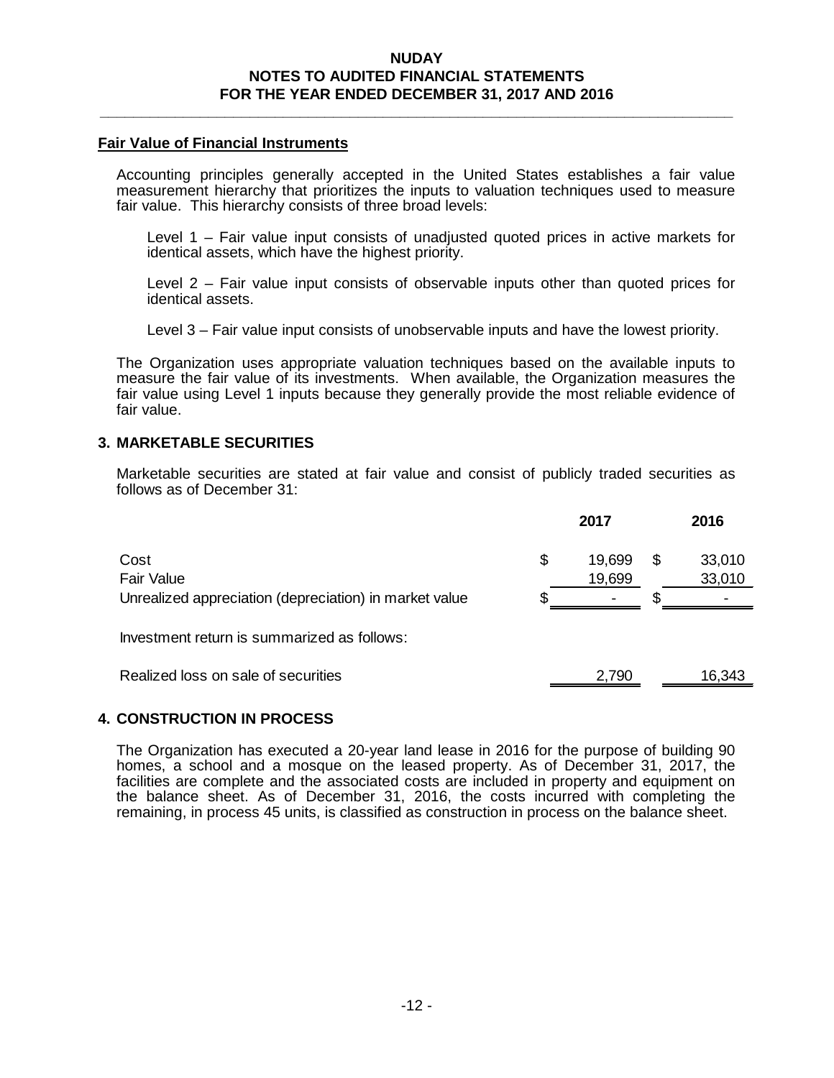**\_\_\_\_\_\_\_\_\_\_\_\_\_\_\_\_\_\_\_\_\_\_\_\_\_\_\_\_\_\_\_\_\_\_\_\_\_\_\_\_\_\_\_\_\_\_\_\_\_\_\_\_\_\_\_\_\_\_\_\_\_\_\_\_\_\_\_\_\_\_\_\_\_\_\_\_**

#### **Fair Value of Financial Instruments**

Accounting principles generally accepted in the United States establishes a fair value measurement hierarchy that prioritizes the inputs to valuation techniques used to measure fair value. This hierarchy consists of three broad levels:

Level 1 – Fair value input consists of unadjusted quoted prices in active markets for identical assets, which have the highest priority.

Level 2 – Fair value input consists of observable inputs other than quoted prices for identical assets.

Level 3 – Fair value input consists of unobservable inputs and have the lowest priority.

The Organization uses appropriate valuation techniques based on the available inputs to measure the fair value of its investments. When available, the Organization measures the fair value using Level 1 inputs because they generally provide the most reliable evidence of fair value.

#### **3. MARKETABLE SECURITIES**

Marketable securities are stated at fair value and consist of publicly traded securities as follows as of December 31:

|                                                        | 2017                   |   | 2016             |
|--------------------------------------------------------|------------------------|---|------------------|
| Cost<br><b>Fair Value</b>                              | \$<br>19,699<br>19,699 | S | 33,010<br>33,010 |
| Unrealized appreciation (depreciation) in market value |                        |   |                  |
| Investment return is summarized as follows:            |                        |   |                  |
| Realized loss on sale of securities                    | 2.790                  |   | 16,343           |

# **4. CONSTRUCTION IN PROCESS**

The Organization has executed a 20-year land lease in 2016 for the purpose of building 90 homes, a school and a mosque on the leased property. As of December 31, 2017, the facilities are complete and the associated costs are included in property and equipment on the balance sheet. As of December 31, 2016, the costs incurred with completing the remaining, in process 45 units, is classified as construction in process on the balance sheet.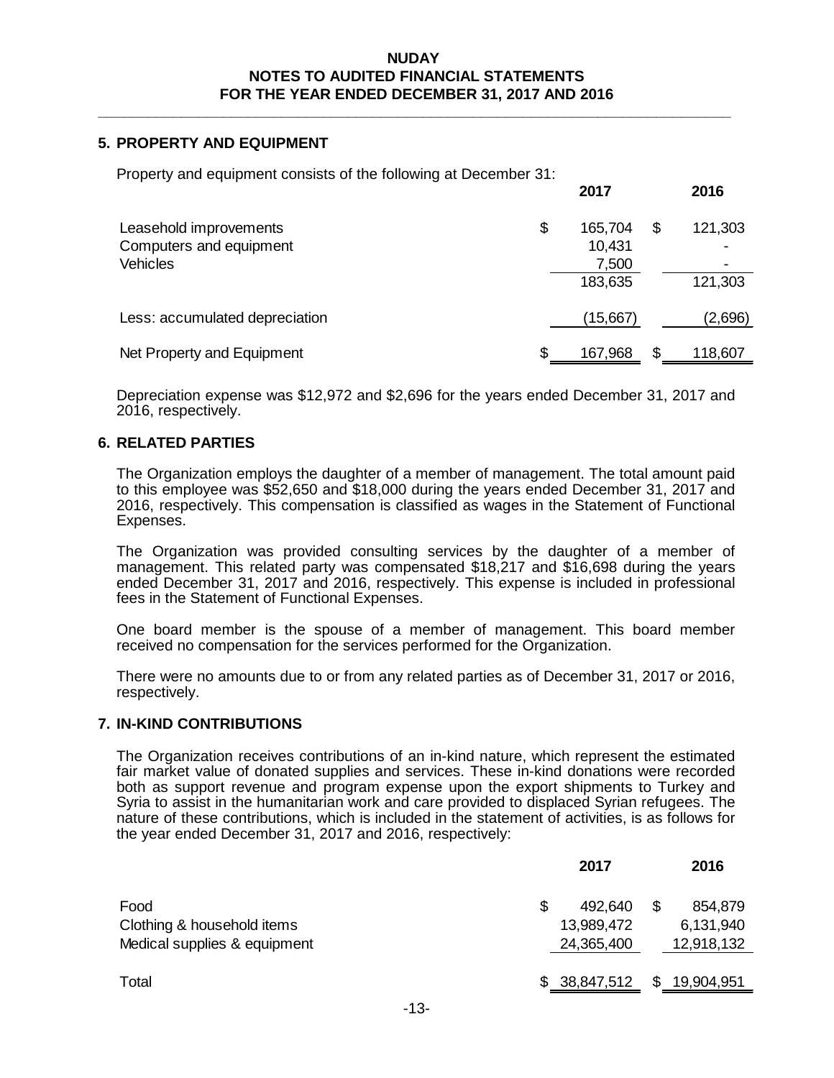**\_\_\_\_\_\_\_\_\_\_\_\_\_\_\_\_\_\_\_\_\_\_\_\_\_\_\_\_\_\_\_\_\_\_\_\_\_\_\_\_\_\_\_\_\_\_\_\_\_\_\_\_\_\_\_\_\_\_\_\_\_\_\_\_\_\_\_\_\_\_\_\_\_\_\_\_**

# **5. PROPERTY AND EQUIPMENT**

Property and equipment consists of the following at December 31:

|                                                                      | 2017                                        |   | 2016               |
|----------------------------------------------------------------------|---------------------------------------------|---|--------------------|
| Leasehold improvements<br>Computers and equipment<br><b>Vehicles</b> | \$<br>165,704<br>10,431<br>7,500<br>183,635 | S | 121,303<br>121,303 |
| Less: accumulated depreciation                                       | (15,667)                                    |   | (2,696)            |
| Net Property and Equipment                                           | \$<br>167,968                               | S | 118,607            |

Depreciation expense was \$12,972 and \$2,696 for the years ended December 31, 2017 and 2016, respectively.

#### **6. RELATED PARTIES**

The Organization employs the daughter of a member of management. The total amount paid to this employee was \$52,650 and \$18,000 during the years ended December 31, 2017 and 2016, respectively. This compensation is classified as wages in the Statement of Functional Expenses.

The Organization was provided consulting services by the daughter of a member of management. This related party was compensated \$18,217 and \$16,698 during the years ended December 31, 2017 and 2016, respectively. This expense is included in professional fees in the Statement of Functional Expenses.

One board member is the spouse of a member of management. This board member received no compensation for the services performed for the Organization.

There were no amounts due to or from any related parties as of December 31, 2017 or 2016, respectively.

#### **7. IN-KIND CONTRIBUTIONS**

The Organization receives contributions of an in-kind nature, which represent the estimated fair market value of donated supplies and services. These in-kind donations were recorded both as support revenue and program expense upon the export shipments to Turkey and Syria to assist in the humanitarian work and care provided to displaced Syrian refugees. The nature of these contributions, which is included in the statement of activities, is as follows for the year ended December 31, 2017 and 2016, respectively:

|                              | 2017          |     | 2016         |
|------------------------------|---------------|-----|--------------|
| Food                         | \$<br>492.640 | \$. | 854,879      |
| Clothing & household items   | 13,989,472    |     | 6,131,940    |
| Medical supplies & equipment | 24,365,400    |     | 12,918,132   |
| Total                        | \$38,847,512  |     | \$19,904,951 |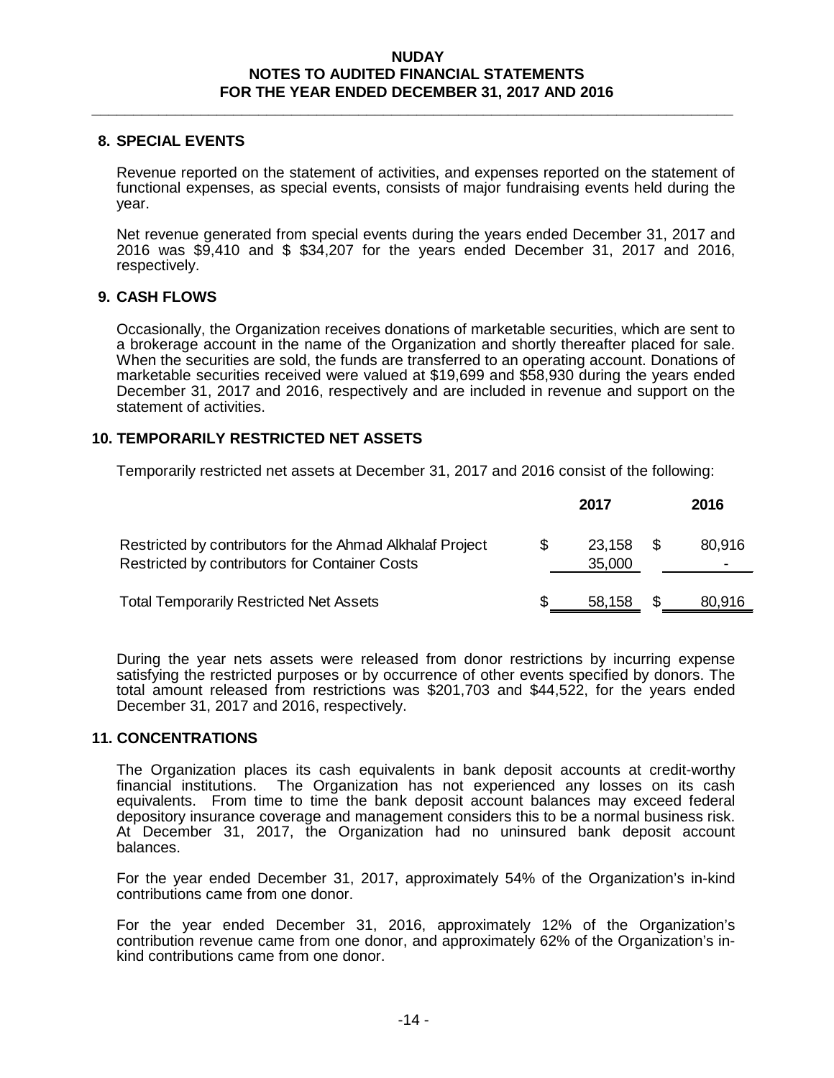**\_\_\_\_\_\_\_\_\_\_\_\_\_\_\_\_\_\_\_\_\_\_\_\_\_\_\_\_\_\_\_\_\_\_\_\_\_\_\_\_\_\_\_\_\_\_\_\_\_\_\_\_\_\_\_\_\_\_\_\_\_\_\_\_\_\_\_\_\_\_\_\_\_\_\_\_\_**

# **8. SPECIAL EVENTS**

Revenue reported on the statement of activities, and expenses reported on the statement of functional expenses, as special events, consists of major fundraising events held during the year.

Net revenue generated from special events during the years ended December 31, 2017 and 2016 was \$9,410 and \$ \$34,207 for the years ended December 31, 2017 and 2016, respectively.

# **9. CASH FLOWS**

Occasionally, the Organization receives donations of marketable securities, which are sent to a brokerage account in the name of the Organization and shortly thereafter placed for sale. When the securities are sold, the funds are transferred to an operating account. Donations of marketable securities received were valued at \$19,699 and \$58,930 during the years ended December 31, 2017 and 2016, respectively and are included in revenue and support on the statement of activities.

# **10. TEMPORARILY RESTRICTED NET ASSETS**

Temporarily restricted net assets at December 31, 2017 and 2016 consist of the following:

|                                                                                                             |   | 2017             |     | 2016   |
|-------------------------------------------------------------------------------------------------------------|---|------------------|-----|--------|
| Restricted by contributors for the Ahmad Alkhalaf Project<br>Restricted by contributors for Container Costs | S | 23,158<br>35,000 | \$. | 80,916 |
| <b>Total Temporarily Restricted Net Assets</b>                                                              |   | 58,158           |     | 80,916 |

During the year nets assets were released from donor restrictions by incurring expense satisfying the restricted purposes or by occurrence of other events specified by donors. The total amount released from restrictions was \$201,703 and \$44,522, for the years ended December 31, 2017 and 2016, respectively.

## **11. CONCENTRATIONS**

The Organization places its cash equivalents in bank deposit accounts at credit-worthy financial institutions. The Organization has not experienced any losses on its cash equivalents. From time to time the bank deposit account balances may exceed federal depository insurance coverage and management considers this to be a normal business risk. At December 31, 2017, the Organization had no uninsured bank deposit account balances.

For the year ended December 31, 2017, approximately 54% of the Organization's in-kind contributions came from one donor.

For the year ended December 31, 2016, approximately 12% of the Organization's contribution revenue came from one donor, and approximately 62% of the Organization's inkind contributions came from one donor.